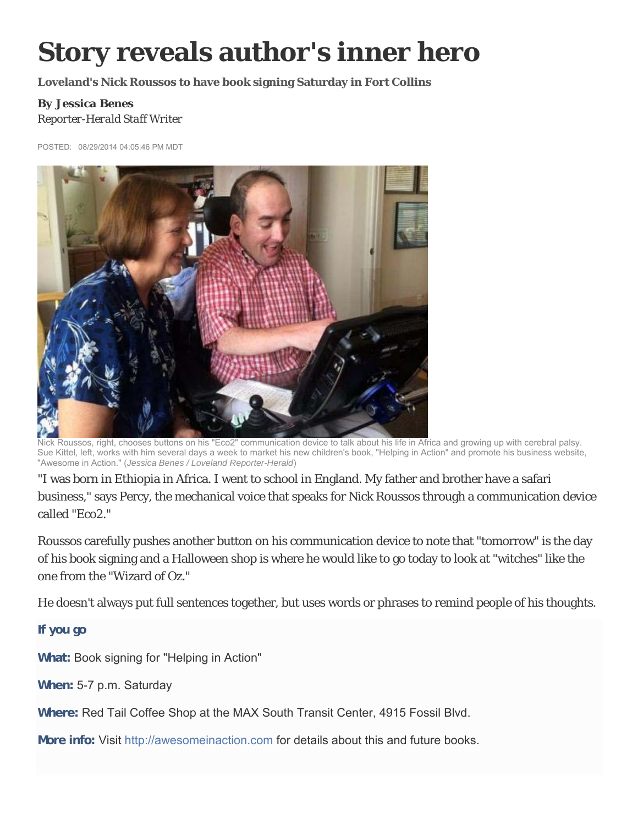## **Story reveals author's inner hero**

**Loveland's Nick Roussos to have book signing Saturday in Fort Collins** 

## *By Jessica Benes Reporter-Herald Staff Writer*

POSTED: 08/29/2014 04:05:46 PM MDT



Nick Roussos, right, chooses buttons on his "Eco2" communication device to talk about his life in Africa and growing up with cerebral palsy. Sue Kittel, left, works with him several days a week to market his new children's book, "Helping in Action" and promote his business website, "Awesome in Action." (*Jessica Benes / Loveland Reporter-Herald*)

"I was born in Ethiopia in Africa. I went to school in England. My father and brother have a safari business," says Percy, the mechanical voice that speaks for Nick Roussos through a communication device called "Eco2."

Roussos carefully pushes another button on his communication device to note that "tomorrow" is the day of his book signing and a Halloween shop is where he would like to go today to look at "witches" like the one from the "Wizard of Oz."

He doesn't always put full sentences together, but uses words or phrases to remind people of his thoughts.

**If you go**

**What:** Book signing for "Helping in Action"

**When:** 5-7 p.m. Saturday

**Where:** Red Tail Coffee Shop at the MAX South Transit Center, 4915 Fossil Blvd.

**More info:** Visit http://awesomeinaction.com for details about this and future books.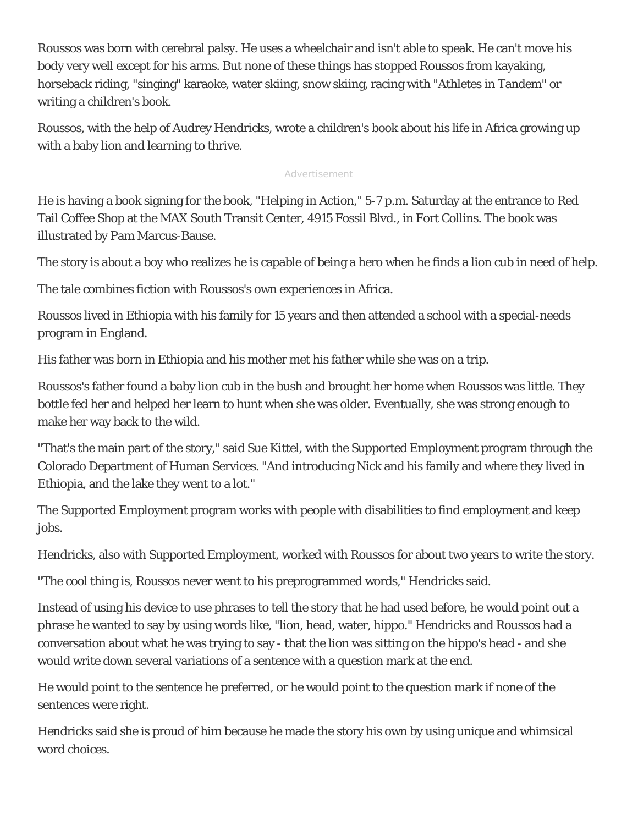Roussos was born with cerebral palsy. He uses a wheelchair and isn't able to speak. He can't move his body very well except for his arms. But none of these things has stopped Roussos from kayaking, horseback riding, "singing" karaoke, water skiing, snow skiing, racing with "Athletes in Tandem" or writing a children's book.

Roussos, with the help of Audrey Hendricks, wrote a children's book about his life in Africa growing up with a baby lion and learning to thrive.

## Advertisement

He is having a book signing for the book, "Helping in Action," 5-7 p.m. Saturday at the entrance to Red Tail Coffee Shop at the MAX South Transit Center, 4915 Fossil Blvd., in Fort Collins. The book was illustrated by Pam Marcus-Bause.

The story is about a boy who realizes he is capable of being a hero when he finds a lion cub in need of help.

The tale combines fiction with Roussos's own experiences in Africa.

Roussos lived in Ethiopia with his family for 15 years and then attended a school with a special-needs program in England.

His father was born in Ethiopia and his mother met his father while she was on a trip.

Roussos's father found a baby lion cub in the bush and brought her home when Roussos was little. They bottle fed her and helped her learn to hunt when she was older. Eventually, she was strong enough to make her way back to the wild.

"That's the main part of the story," said Sue Kittel, with the Supported Employment program through the Colorado Department of Human Services. "And introducing Nick and his family and where they lived in Ethiopia, and the lake they went to a lot."

The Supported Employment program works with people with disabilities to find employment and keep jobs.

Hendricks, also with Supported Employment, worked with Roussos for about two years to write the story.

"The cool thing is, Roussos never went to his preprogrammed words," Hendricks said.

Instead of using his device to use phrases to tell the story that he had used before, he would point out a phrase he wanted to say by using words like, "lion, head, water, hippo." Hendricks and Roussos had a conversation about what he was trying to say - that the lion was sitting on the hippo's head - and she would write down several variations of a sentence with a question mark at the end.

He would point to the sentence he preferred, or he would point to the question mark if none of the sentences were right.

Hendricks said she is proud of him because he made the story his own by using unique and whimsical word choices.